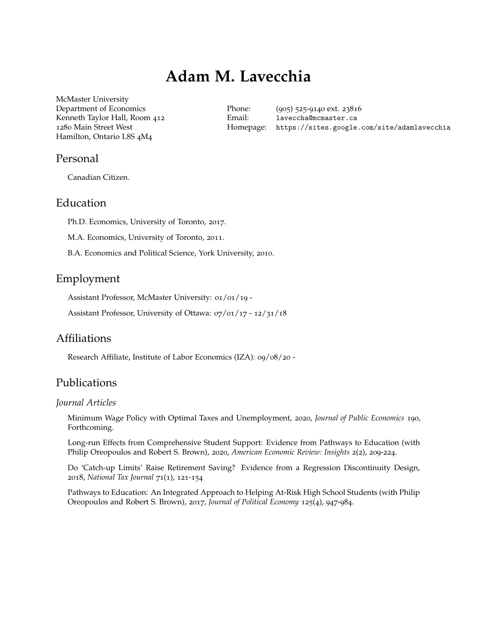# **Adam M. Lavecchia**

McMaster University Department of Economics Kenneth Taylor Hall, Room 412 1280 Main Street West Hamilton, Ontario L8S 4M4

Phone: (905) 525-9140 ext. 23816 Email: [laveccha@mcmaster.ca](mailto: alavecch@uottawa.ca) Homepage: https://sites.google.com/site/adamlavecchia

### Personal

Canadian Citizen.

### Education

Ph.D. Economics, University of Toronto, 2017.

M.A. Economics, University of Toronto, 2011.

B.A. Economics and Political Science, York University, 2010.

# Employment

Assistant Professor, McMaster University: 01/01/19 -

Assistant Professor, University of Ottawa: 07/01/17 - 12/31/18

# Affiliations

Research Affiliate, Institute of Labor Economics (IZA): 09/08/20 -

# Publications

#### *Journal Articles*

Minimum Wage Policy with Optimal Taxes and Unemployment, 2020, *Journal of Public Economics* 190, Forthcoming.

Long-run Effects from Comprehensive Student Support: Evidence from Pathways to Education (with Philip Oreopoulos and Robert S. Brown), 2020, *American Economic Review: Insights* 2(2), 209-224.

Do 'Catch-up Limits' Raise Retirement Saving? Evidence from a Regression Discontinuity Design, 2018, *National Tax Journal* 71(1), 121-154

Pathways to Education: An Integrated Approach to Helping At-Risk High School Students (with Philip Oreopoulos and Robert S. Brown), 2017, *Journal of Political Economy* 125(4), 947-984.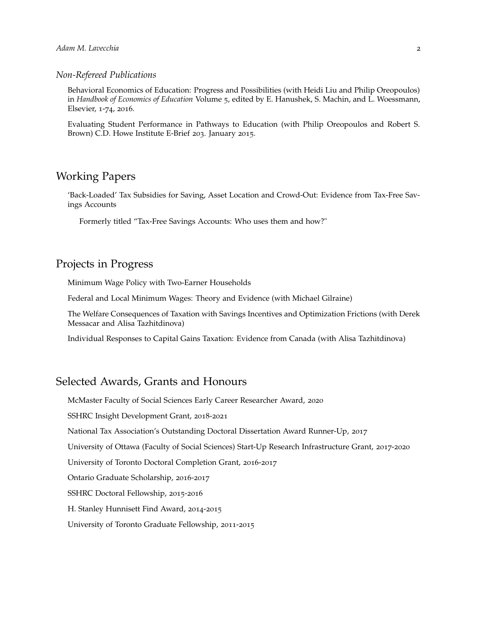#### *Non-Refereed Publications*

Behavioral Economics of Education: Progress and Possibilities (with Heidi Liu and Philip Oreopoulos) in *Handbook of Economics of Education* Volume 5, edited by E. Hanushek, S. Machin, and L. Woessmann, Elsevier, 1-74, 2016.

Evaluating Student Performance in Pathways to Education (with Philip Oreopoulos and Robert S. Brown) C.D. Howe Institute E-Brief 203. January 2015.

# Working Papers

'Back-Loaded' Tax Subsidies for Saving, Asset Location and Crowd-Out: Evidence from Tax-Free Savings Accounts

Formerly titled "Tax-Free Savings Accounts: Who uses them and how?"

#### Projects in Progress

Minimum Wage Policy with Two-Earner Households

Federal and Local Minimum Wages: Theory and Evidence (with Michael Gilraine)

The Welfare Consequences of Taxation with Savings Incentives and Optimization Frictions (with Derek Messacar and Alisa Tazhitdinova)

Individual Responses to Capital Gains Taxation: Evidence from Canada (with Alisa Tazhitdinova)

## Selected Awards, Grants and Honours

McMaster Faculty of Social Sciences Early Career Researcher Award, 2020

SSHRC Insight Development Grant, 2018-2021

National Tax Association's Outstanding Doctoral Dissertation Award Runner-Up, 2017

University of Ottawa (Faculty of Social Sciences) Start-Up Research Infrastructure Grant, 2017-2020

University of Toronto Doctoral Completion Grant, 2016-2017

Ontario Graduate Scholarship, 2016-2017

SSHRC Doctoral Fellowship, 2015-2016

H. Stanley Hunnisett Find Award, 2014-2015

University of Toronto Graduate Fellowship, 2011-2015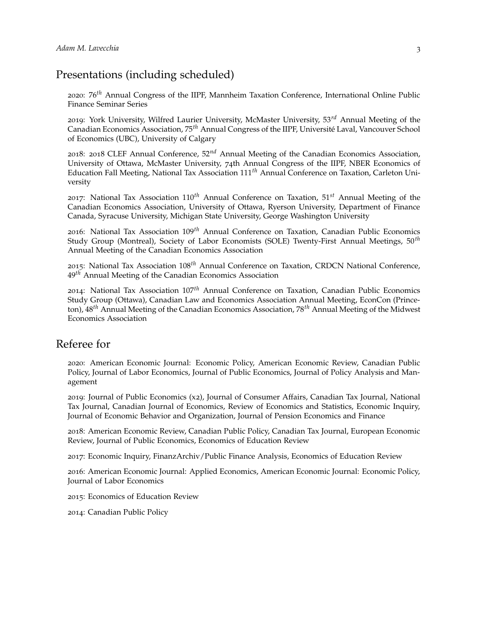# Presentations (including scheduled)

2020: 76*th* Annual Congress of the IIPF, Mannheim Taxation Conference, International Online Public Finance Seminar Series

2019: York University, Wilfred Laurier University, McMaster University, 53*rd* Annual Meeting of the Canadian Economics Association, 75*th* Annual Congress of the IIPF, Université Laval, Vancouver School of Economics (UBC), University of Calgary

2018: 2018 CLEF Annual Conference, 52*nd* Annual Meeting of the Canadian Economics Association, University of Ottawa, McMaster University, 74th Annual Congress of the IIPF, NBER Economics of Education Fall Meeting, National Tax Association 111*th* Annual Conference on Taxation, Carleton University

2017: National Tax Association 110*th* Annual Conference on Taxation, 51*st* Annual Meeting of the Canadian Economics Association, University of Ottawa, Ryerson University, Department of Finance Canada, Syracuse University, Michigan State University, George Washington University

2016: National Tax Association 109*th* Annual Conference on Taxation, Canadian Public Economics Study Group (Montreal), Society of Labor Economists (SOLE) Twenty-First Annual Meetings, 50*th* Annual Meeting of the Canadian Economics Association

2015: National Tax Association 108*th* Annual Conference on Taxation, CRDCN National Conference, 49*th* Annual Meeting of the Canadian Economics Association

2014: National Tax Association 107*th* Annual Conference on Taxation, Canadian Public Economics Study Group (Ottawa), Canadian Law and Economics Association Annual Meeting, EconCon (Princeton), 48*th* Annual Meeting of the Canadian Economics Association, 78*th* Annual Meeting of the Midwest Economics Association

## Referee for

2020: American Economic Journal: Economic Policy, American Economic Review, Canadian Public Policy, Journal of Labor Economics, Journal of Public Economics, Journal of Policy Analysis and Management

2019: Journal of Public Economics (x2), Journal of Consumer Affairs, Canadian Tax Journal, National Tax Journal, Canadian Journal of Economics, Review of Economics and Statistics, Economic Inquiry, Journal of Economic Behavior and Organization, Journal of Pension Economics and Finance

2018: American Economic Review, Canadian Public Policy, Canadian Tax Journal, European Economic Review, Journal of Public Economics, Economics of Education Review

2017: Economic Inquiry, FinanzArchiv/Public Finance Analysis, Economics of Education Review

2016: American Economic Journal: Applied Economics, American Economic Journal: Economic Policy, Journal of Labor Economics

2015: Economics of Education Review

2014: Canadian Public Policy